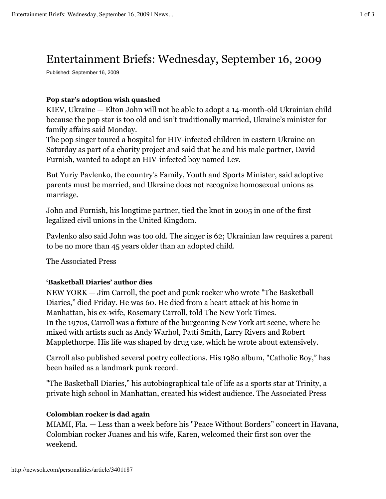# Entertainment Briefs: Wednesday, September 16, 2009

Published: September 16, 2009

### **Pop star's adoption wish quashed**

KIEV, Ukraine — Elton John will not be able to adopt a 14-month-old Ukrainian child because the pop star is too old and isn't traditionally married, Ukraine's minister for family affairs said Monday.

The pop singer toured a hospital for HIV-infected children in eastern Ukraine on Saturday as part of a charity project and said that he and his male partner, David Furnish, wanted to adopt an HIV-infected boy named Lev.

But Yuriy Pavlenko, the country's Family, Youth and Sports Minister, said adoptive parents must be married, and Ukraine does not recognize homosexual unions as marriage.

John and Furnish, his longtime partner, tied the knot in 2005 in one of the first legalized civil unions in the United Kingdom.

Pavlenko also said John was too old. The singer is 62; Ukrainian law requires a parent to be no more than 45 years older than an adopted child.

The Associated Press

## **'Basketball Diaries' author dies**

NEW YORK — Jim Carroll, the poet and punk rocker who wrote "The Basketball Diaries," died Friday. He was 60. He died from a heart attack at his home in Manhattan, his ex-wife, Rosemary Carroll, told The New York Times. In the 1970s, Carroll was a fixture of the burgeoning New York art scene, where he mixed with artists such as Andy Warhol, Patti Smith, Larry Rivers and Robert Mapplethorpe. His life was shaped by drug use, which he wrote about extensively.

Carroll also published several poetry collections. His 1980 album, "Catholic Boy," has been hailed as a landmark punk record.

"The Basketball Diaries," his autobiographical tale of life as a sports star at Trinity, a private high school in Manhattan, created his widest audience. The Associated Press

#### **Colombian rocker is dad again**

MIAMI, Fla. — Less than a week before his "Peace Without Borders" concert in Havana, Colombian rocker Juanes and his wife, Karen, welcomed their first son over the weekend.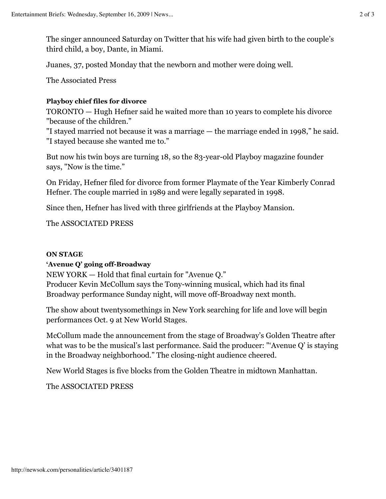The singer announced Saturday on Twitter that his wife had given birth to the couple's third child, a boy, Dante, in Miami.

Juanes, 37, posted Monday that the newborn and mother were doing well.

The Associated Press

## **Playboy chief files for divorce**

TORONTO — Hugh Hefner said he waited more than 10 years to complete his divorce "because of the children."

"I stayed married not because it was a marriage — the marriage ended in 1998," he said. "I stayed because she wanted me to."

But now his twin boys are turning 18, so the 83-year-old Playboy magazine founder says, "Now is the time."

On Friday, Hefner filed for divorce from former Playmate of the Year Kimberly Conrad Hefner. The couple married in 1989 and were legally separated in 1998.

Since then, Hefner has lived with three girlfriends at the Playboy Mansion.

The ASSOCIATED PRESS

## **ON STAGE**

## **'Avenue Q' going off-Broadway**

NEW YORK — Hold that final curtain for "Avenue Q."

Producer Kevin McCollum says the Tony-winning musical, which had its final Broadway performance Sunday night, will move off-Broadway next month.

The show about twentysomethings in New York searching for life and love will begin performances Oct. 9 at New World Stages.

McCollum made the announcement from the stage of Broadway's Golden Theatre after what was to be the musical's last performance. Said the producer: "'Avenue Q' is staying in the Broadway neighborhood." The closing-night audience cheered.

New World Stages is five blocks from the Golden Theatre in midtown Manhattan.

The ASSOCIATED PRESS